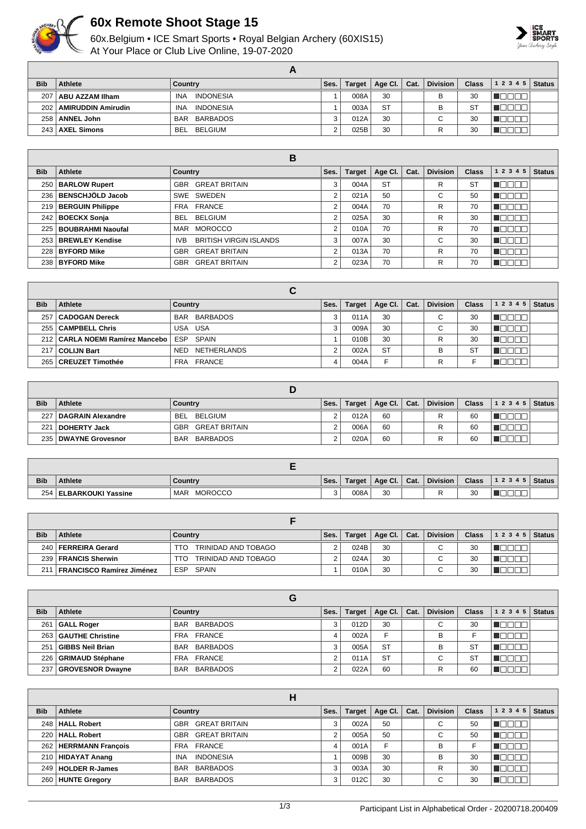

## **60x Remote Shoot Stage 15**

60x.Belgium • ICE Smart Sports • Royal Belgian Archery (60XIS15) At Your Place or Club Live Online, 19-07-2020



| <b>Bib</b> | Athlete                   | Country                        | Ses. | Target | Age Cl.   | Cat. | <b>Division</b> | <b>Class</b> | $12345$ Status |  |
|------------|---------------------------|--------------------------------|------|--------|-----------|------|-----------------|--------------|----------------|--|
| 207        | ABU AZZAM Ilham           | INDONESIA<br>INA               |      | 008A   | 30        |      | B               | 30           |                |  |
| 202        | <b>AMIRUDDIN Amirudin</b> | <b>INDONESIA</b><br><b>INA</b> |      | 003A   | <b>ST</b> |      | в               | <b>ST</b>    |                |  |
| 258        | <b>ANNEL John</b>         | BAR BARBADOS                   |      | 012A   | 30        |      | $\sim$          | 30           |                |  |
| 243        | AXEL Simons               | BELGIUM<br><b>BEL</b>          |      | 025B   | 30        |      | R               | 30           |                |  |

|            |                         | В                                     |                |               |           |      |                 |              |           |               |
|------------|-------------------------|---------------------------------------|----------------|---------------|-----------|------|-----------------|--------------|-----------|---------------|
| <b>Bib</b> | Athlete                 | Country                               | Ses.           | <b>Target</b> | Age Cl.   | Cat. | <b>Division</b> | <b>Class</b> | 1 2 3 4 5 | <b>Status</b> |
|            | 250   BARLOW Rupert     | <b>GREAT BRITAIN</b><br><b>GBR</b>    | 3              | 004A          | <b>ST</b> |      | R               | -ST          |           |               |
| 236        | BENSCHJÖLD Jacob        | SWE SWEDEN                            | $\overline{2}$ | 021A          | 50        |      | С               | 50           |           |               |
|            | 219 BERGUIN Philippe    | FRA FRANCE                            | $\overline{2}$ | 004A          | 70        |      | R               | 70           |           |               |
|            | 242   BOECKX Sonja      | <b>BELGIUM</b><br>BEL.                | 2              | 025A          | 30        |      | R               | 30           |           |               |
|            | 225   BOUBRAHMI Naoufal | <b>MOROCCO</b><br>MAR                 | 2              | 010A          | 70        |      | R               | 70           |           |               |
|            | 253   BREWLEY Kendise   | <b>BRITISH VIRGIN ISLANDS</b><br>IVB. | 3              | 007A          | 30        |      | С               | 30           |           |               |
| 228        | <b>BYFORD Mike</b>      | <b>GREAT BRITAIN</b><br>GBR           | 2              | 013A          | 70        |      | R               | 70           |           |               |
|            | 238   BYFORD Mike       | <b>GREAT BRITAIN</b><br>GBR           | $\overline{2}$ | 023A          | 70        |      | R               | 70           |           |               |

| <b>Bib</b> | Athlete                           | Country            | Ses. | <b>Target</b> | Age Cl.   | Cat. | <b>Division</b> | <b>Class</b> | 1 2 3 4 5 | <b>Status</b> |
|------------|-----------------------------------|--------------------|------|---------------|-----------|------|-----------------|--------------|-----------|---------------|
| 257        | <b>CADOGAN Dereck</b>             | BAR BARBADOS       |      | 011A          | 30        |      | $\sim$<br>U     | 30           |           |               |
|            | 255   CAMPBELL Chris              | USA USA            |      | 009A          | 30        |      | ⌒<br>U          | 30           |           |               |
|            | 212   CARLA NOEMI Ramírez Mancebo | ESP SPAIN          |      | 010B          | 30        |      | R               | 30           |           |               |
| 217        | <b>COLIJN Bart</b>                | NETHERLANDS<br>NED |      | 002A          | <b>ST</b> |      | B               | <b>ST</b>    |           |               |
|            | 265   CREUZET Timothée            | FRA FRANCE         | 4    | 004A          | F         |      | R               |              |           |               |

| <b>Bib</b> | <b>Athlete</b>           | Country                  | Ses. | Target | Age Cl.   Cat. | <b>Division</b> | <b>Class</b> | 12345 | <b>Status</b> |
|------------|--------------------------|--------------------------|------|--------|----------------|-----------------|--------------|-------|---------------|
| 227        | <b>DAGRAIN Alexandre</b> | BELGIUM<br><b>BEL</b>    |      | 012A   | 60             |                 | 60           |       |               |
| 221        | <b>DOHERTY Jack</b>      | <b>GBR GREAT BRITAIN</b> |      | 006A   | 60             | R               | 60           |       |               |
|            | 235   DWAYNE Grovesnor   | BAR BARBADOS             |      | 020A   | 60             |                 | 60           |       |               |

| <b>Bib</b> | <b>Athlete</b>         | Country               | Ses. | <b>Target</b> | Age CI. | Cat. | <b>Division</b> | <b>Class</b> | 12345 | Status |
|------------|------------------------|-----------------------|------|---------------|---------|------|-----------------|--------------|-------|--------|
| 254        | 1 ∣ ELBARKOUKI Yassine | <b>MOROCCO</b><br>MAR |      | 008A          | 30      |      |                 | 30           |       |        |

| <b>Bib</b>       | Athlete                     | Country                    | Ses. | Target | Age CI. | Cat. | <b>Division</b> | <b>Class</b> | 1 2 3 4 5 | <b>Status</b> |
|------------------|-----------------------------|----------------------------|------|--------|---------|------|-----------------|--------------|-----------|---------------|
| 240              | FERREIRA Gerard             | TRINIDAD AND TOBAGO<br>TTO |      | 024B   | 30      |      | С               | 30           |           |               |
| 239 <sup>1</sup> | FRANCIS Sherwin             | TRINIDAD AND TOBAGO<br>TTO |      | 024A   | 30      |      |                 | 30           |           |               |
| 21               | I FRANCISCO Ramírez Jiménez | SPAIN<br>ESP               |      | 010A   | 30      |      |                 | 30           |           |               |

|            |                         | G                             |      |        |                 |      |                               |              |           |               |
|------------|-------------------------|-------------------------------|------|--------|-----------------|------|-------------------------------|--------------|-----------|---------------|
| <b>Bib</b> | Athlete                 | Country                       | Ses. | Target | Age Cl. $\vert$ | Cat. | <b>Division</b>               | <b>Class</b> | 1 2 3 4 5 | <b>Status</b> |
| 261        | <b>GALL Roger</b>       | BAR BARBADOS                  |      | 012D   | 30              |      | ⌒<br>U                        | 30           |           |               |
|            | 263   GAUTHE Christine  | FRA FRANCE                    | 4    | 002A   | F               |      | в                             |              |           |               |
| 251        | GIBBS Neil Brian        | BAR BARBADOS                  | 3    | 005A   | <b>ST</b>       |      | в                             | ST           |           |               |
| 226        | GRIMAUD Stéphane        | FRA FRANCE                    |      | 011A   | <b>ST</b>       |      | $\overline{\phantom{0}}$<br>U | <b>ST</b>    |           |               |
| 237        | <b>GROVESNOR Dwayne</b> | <b>BARBADOS</b><br><b>BAR</b> |      | 022A   | 60              |      |                               | 60           |           |               |

| <b>Bib</b> | Athlete                 | Country                        | Ses. | <b>Target</b> | Age Cl. $\vert$ | Cat. | <b>Division</b> | <b>Class</b> | 1 2 3 4 5 | <b>Status</b> |
|------------|-------------------------|--------------------------------|------|---------------|-----------------|------|-----------------|--------------|-----------|---------------|
|            | 248   HALL Robert       | GBR GREAT BRITAIN              |      | 002A          | 50              |      | $\sim$<br>◡     | 50           |           |               |
|            | 220   HALL Robert       | <b>GREAT BRITAIN</b><br>GBR    | ◠    | 005A          | 50              |      | $\sim$<br>◡     | 50           |           |               |
|            | 262   HERRMANN François | FRA FRANCE                     | 4    | 001A          | F               |      | B               |              |           |               |
|            | 210   HIDAYAT Anang     | <b>INDONESIA</b><br><b>INA</b> |      | 009B          | 30              |      | B               | 30           |           |               |
|            | 249   HOLDER R-James    | <b>BARBADOS</b><br><b>BAR</b>  |      | 003A          | 30              |      | R               | 30           |           |               |
|            | 260 HUNTE Gregory       | BAR BARBADOS                   | 3    | 012C          | 30              |      | $\sim$          | 30           |           |               |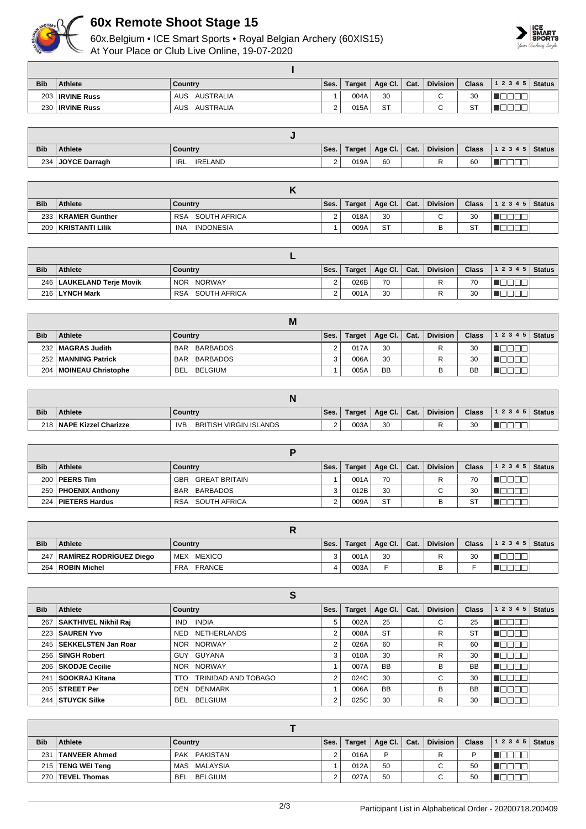

## **60x Remote Shoot Stage 15**

60x.Belgium • ICE Smart Sports • Royal Belgian Archery (60XIS15) At Your Place or Club Live Online, 19-07-2020



| <b>Bib</b>       | Athlete            | Country                 | Ses.     | Target | Age Cl.   Cat. | <b>Division</b>          | <b>Class</b> | $12345$ Status |  |
|------------------|--------------------|-------------------------|----------|--------|----------------|--------------------------|--------------|----------------|--|
| 203              | <b>IRVINE Russ</b> | AUSTRALIA<br><b>AUS</b> |          | 004A   | 30             | $\overline{\phantom{0}}$ | 30           |                |  |
| 230 <sub>1</sub> | <b>IRVINE Russ</b> | AUSTRALIA<br><b>AUS</b> | <u>.</u> | 015A   | <b>ST</b>      |                          | <b>ST</b>    |                |  |

| <b>Bib</b> | <b>Athlete</b>    | Country               | Ses. | Target | Age Cl. | Cat. | <b>Division</b> | <b>Class</b> | 12345<br><b>Status</b> |
|------------|-------------------|-----------------------|------|--------|---------|------|-----------------|--------------|------------------------|
|            | 234 JOYCE Darragh | <b>IRELAND</b><br>IRL |      | 019A   | 60      |      |                 | 60           |                        |

| <b>Bib</b> | <b>Athlete</b>        | Country                    | Ses.     | Target | Age Cl.   | Cat. | <b>Division</b> | <b>Class</b> | 12345 | <b>Status</b> |
|------------|-----------------------|----------------------------|----------|--------|-----------|------|-----------------|--------------|-------|---------------|
|            | 233   KRAMER Gunther  | SOUTH AFRICA<br><b>RSA</b> | <u>.</u> | 018A   | 30        |      |                 | 30           |       |               |
|            | 209   KRISTANTI Lilik | <b>INDONESIA</b><br>INA    |          | 009A   | <b>ST</b> |      |                 | <b>ST</b>    |       |               |

| <b>Bib</b> | <b>Athlete</b>              | Country                    | Ses. | Target <sub>1</sub> | Age Cl.   Cat. | <b>Division</b> | <b>Class</b> | $12345$ Status |  |
|------------|-----------------------------|----------------------------|------|---------------------|----------------|-----------------|--------------|----------------|--|
|            | 246   LAUKELAND Terje Movik | NOR NORWAY                 |      | 026B                | 70             |                 | 70           |                |  |
|            | 216 LYNCH Mark              | SOUTH AFRICA<br><b>RSA</b> |      | 001A                | 30             |                 | 30           |                |  |

|            | М                        |                |      |        |                      |  |                 |              |       |               |  |
|------------|--------------------------|----------------|------|--------|----------------------|--|-----------------|--------------|-------|---------------|--|
| <b>Bib</b> | <b>Athlete</b>           | Country        | Ses. | Target | Age Cl. $\vert$ Cat. |  | <b>Division</b> | <b>Class</b> | 12345 | <b>Status</b> |  |
|            | 232   MAGRAS Judith      | BAR BARBADOS   |      | 017A   | 30                   |  |                 | 30           |       |               |  |
|            | 252   MANNING Patrick    | BAR BARBADOS   |      | 006A   | 30                   |  | R               | 30           |       |               |  |
|            | 204   MOINEAU Christophe | BEL<br>BELGIUM |      | 005A   | <b>BB</b>            |  |                 | <b>BB</b>    |       |               |  |

| <b>Bib</b> | <b>Athlete</b>              | Countrv                                     | Ses. | Target | Age Cl. | Cat. | <b>Division</b> | Class | 12345 | Status |
|------------|-----------------------------|---------------------------------------------|------|--------|---------|------|-----------------|-------|-------|--------|
| 2181       | <b>NAPE Kizzel Charizze</b> | <b>BRITISH VIRGIN ISLANDS</b><br><b>IVE</b> | ⌒    | 003A   | 30      |      |                 | 30    |       |        |

| <b>Bib</b> | <b>Athlete</b>        | Country                | Ses. | Target | Age Cl.   Cat. |  | <b>Division</b> | <b>Class</b> | 12345 | <b>Status</b> |  |  |
|------------|-----------------------|------------------------|------|--------|----------------|--|-----------------|--------------|-------|---------------|--|--|
|            | $200$   PEERS Tim     | GREAT BRITAIN<br>GBR   |      | 001A   | 70             |  |                 | 70           |       |               |  |  |
|            | 259   PHOENIX Anthony | BARBADOS<br><b>BAR</b> |      | 012B   | 30             |  | $\sim$<br>◡     | 30           |       |               |  |  |
|            | 224   PIETERS Hardus  | SOUTH AFRICA<br>RSA    |      | 009A   | <b>ST</b>      |  |                 | <b>ST</b>    |       |               |  |  |

| <b>Bib</b> | Athlete                       | Country              | Ses. | Target | Age Cl. $ $ | Cat. | <b>Division</b> | <b>Class</b> | $12345$ Status |  |  |
|------------|-------------------------------|----------------------|------|--------|-------------|------|-----------------|--------------|----------------|--|--|
|            | 247   RAMIREZ RODRIGUEZ Diego | <b>MEXICO</b><br>MEX |      | 001A   | 30          |      |                 | 30           |                |  |  |
|            | 264   ROBIN Michel            | <b>FRANCE</b><br>FRA |      | 003A   |             |      |                 |              |                |  |  |

| o          |                             |                              |      |               |           |      |                 |              |           |               |
|------------|-----------------------------|------------------------------|------|---------------|-----------|------|-----------------|--------------|-----------|---------------|
| <b>Bib</b> | Athlete                     | Country                      | Ses. | <b>Target</b> | Age Cl.   | Cat. | <b>Division</b> | <b>Class</b> | 1 2 3 4 5 | <b>Status</b> |
| 267        | <b>SAKTHIVEL Nikhil Raj</b> | <b>INDIA</b><br>IND.         |      | 002A          | 25        |      | С               | 25           |           |               |
|            | 223   SAUREN Yvo            | NETHERLANDS<br>NED           | ົ    | 008A          | <b>ST</b> |      | R               | <b>ST</b>    |           |               |
|            | 245   SEKKELSTEN Jan Roar   | NOR NORWAY                   | 2    | 026A          | 60        |      | R               | 60           |           |               |
|            | 256   SINGH Robert          | GUY GUYANA                   | 3    | 010A          | 30        |      | R               | 30           |           |               |
|            | 206   SKODJE Cecilie        | NOR NORWAY                   |      | 007A          | <b>BB</b> |      | B               | <b>BB</b>    |           |               |
| 241        | SOOKRAJ Kitana              | TRINIDAD AND TOBAGO<br>TTO   | C    | 024C          | 30        |      | С               | 30           |           |               |
|            | 205   STREET Per            | DENMARK<br>DEN               |      | 006A          | <b>BB</b> |      | B               | BB           |           |               |
|            | 244   STUYCK Silke          | <b>BEL</b><br><b>BELGIUM</b> |      | 025C          | 30        |      | R               | 30           |           |               |

| <b>Bib</b> | <b>Athlete</b>       | Country      | Ses. | Target $\vert$ | Age Cl. Cat. |  | Division    | Class N | 1 2 3 4 5   Status |  |
|------------|----------------------|--------------|------|----------------|--------------|--|-------------|---------|--------------------|--|
| 231        | <b>TANVEER Ahmed</b> | PAK PAKISTAN |      | 016A           | Þ            |  |             |         |                    |  |
|            | 215   TENG WEI Teng  | MAS MALAYSIA |      | 012A           | 50           |  | $\sim$<br>v | 50      |                    |  |
|            | 270   TEVEL Thomas   | BEL BELGIUM  |      | 027A           | 50           |  | $\sim$<br>ັ | 50      |                    |  |